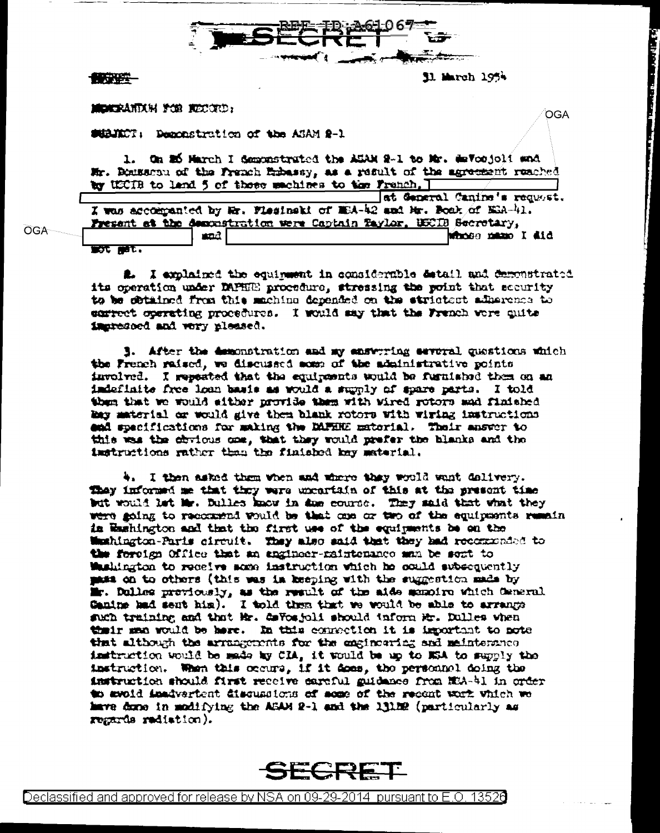

音符字符

11 March 1954

OGA

MEMORANTXE FOR BECORD,

SUBJECT: Demonstration of the ASAM 2-1

1. On 20 March I demonstrated the ASAM 2-1 to Mr. deVoojoli and Mr. Bousseau of the Franch Embassy, as a result of the agreement reached by USCIB to land 5 of these machines to the Franch, I

|            |         |                                                                      | <b>et General Canine's request.</b> |
|------------|---------|----------------------------------------------------------------------|-------------------------------------|
|            |         | I was accommanted by Mr. Flesinski of MBA-42 and Mr. Boak of MBA-41. |                                     |
| <b>OGA</b> |         | Fregent at the demonstration were Captain Taylor, USCIB Secretary,   |                                     |
|            |         | and.                                                                 | Minose masso I did                  |
|            | ET MIL. |                                                                      |                                     |

2. I explained the equiment in considerable detail and demonstrated its operation under DAPHEE procedure, stressing the point that security to be obtained from this machine depended on the strictest adherence to enfrect operating procedures. I would say that the French were quite impressed and very pleased.

3. After the demonstration and my enswrring several questions which the French raised, we discussed some of the administrative points involved. I repeated that the equipents would be furnished them on an indefinite free loan basis as would a surply of spare parts. I told them that we would aither provide them with wired rotors and finished Bay material or would give them blank rotors with wiring instructions. and specifications for making the DAPHHE material. Their answer to this was the chyious one, that they would prefer the blanks and the instructions rather than the finished bay material.

4. I then asked them when and where they would want dalivery. They informed me that they were uncertain of this at the present time but would let me. Dulles know in ane course. They said that what they were going to recommend would be that one or two of the equipments remain in Washington and that the first use of the equipments be on the Whenington-Paris circuit. They also said that they had recommended to the foreign Office that an angineer-raintenance man be sent to Washington to receive some instruction which he could subsequently mass on to others (this was in keeping with the suggestion made by Mr. Dalles previously, as the result of the aide sempire which Ceneral Canine had sent him). I told them that we would be able to arrange such training and that Mr. deVosjoli should inform Mr. Dulles when their man would be here. In this connection it is important to note that although the arrangements for the engineering and mainterance instruction would be made by CIA, it would be up to MSA to supply the instruction. When this occurs, if it does, the personnel doing the instruction should first receive careful guidance from MUA-41 in order to avoid inadvertent discussions of some of the recent work which we have done in modifying the ASAM 2-1 and the 131M2 (particularly as regards rediation).